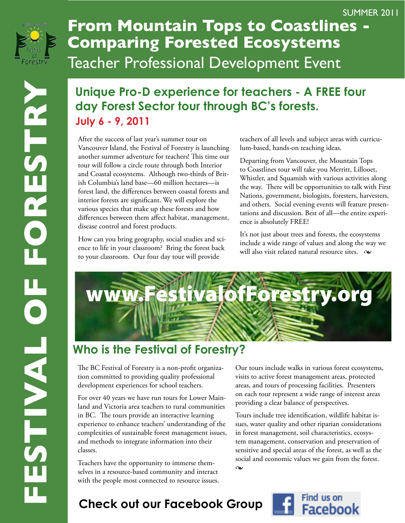

## **From Mountain Tops to Coastlines - Comparing Forested Ecosystems** Teacher Professional Development Event

## **Unique Pro-D experience for teachers - A FREE four day Forest Sector tour through BC's forests. July 6 - 9, 2011**

After the success of last year's summer tour on Vancouver Island, the Festival of Forestry is launching another summer adventure for teachers! This time our tour will follow a circle route through both Interior and Coastal ecosystems. Although two-thirds of British Columbia's land base—60 million hectares—is forest land, the differences between coastal forests and interior forests are significant. We will explore the various species that make up these forests and how differences between them affect habitat, management, disease control and forest products.

How can you bring geography, social studies and science to life in your classroom? Bring the forest back to your classroom. Our four day tour will provide

teachers of all levels and subject areas with curriculum-based, hands-on teaching ideas.

SUMMER 2011

Departing from Vancouver, the Mountain Tops to Coastlines tour will take you Merritt, Lillooet, Whistler, and Squamish with various activities along the way. There will be opportunities to talk with First Nations, government, biologists, foresters, harvesters, and others. Social evening events will feature presentations and discussion. Best of all—the entire experience is absolutely FREE!

It's not just about trees and forests, the ecosystems include a wide range of values and along the way we will also visit related natural resource sites.  $\infty$ 



## **Who is the Festival of Forestry?**

The BC Festival of Forestry is a non-profit organization committed to providing quality professional development experiences for school teachers.

For over 40 years we have run tours for Lower Mainland and Victoria area teachers to rural communities in BC. The tours provide an interactive learning experience to enhance teachers' understanding of the complexities of sustainable forest management issues, and methods to integrate information into their classes.

Teachers have the opportunity to immerse themselves in a resource-based community and interact with the people most connected to resource issues.

Our tours include walks in various forest ecosystems, visits to active forest management areas, protected areas, and tours of processing facilities. Presenters on each tour represent a wide range of interest areas providing a clear balance of perspectives.

Tours include tree identification, wildlife habitat issues, water quality and other riparian considerations in forest management, soil characteristics, ecosystem management, conservation and preservation of sensitive and special areas of the forest, as well as the social and economic values we gain from the forest.  $\infty$ 

## **Check out our Facebook Group**

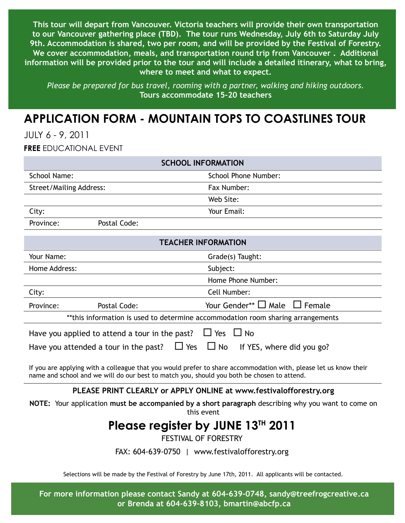**This tour will depart from Vancouver. Victoria teachers will provide their own transportation to our Vancouver gathering place (TBD). The tour runs Wednesday, July 6th to Saturday July 9th. Accommodation is shared, two per room, and will be provided by the Festival of Forestry. We cover accommodation, meals, and transportation round trip from Vancouver . Additional information will be provided prior to the tour and will include a detailed itinerary, what to bring, where to meet and what to expect.** 

*Please be prepared for bus travel, rooming with a partner, walking and hiking outdoors.* **Tours accommodate 15-20 teachers**

### **Application form - Mountain tops to Coastlines Tour**

July 6 - 9, 2011

**Free** educational event

| <b>SCHOOL INFORMATION</b>                                                                                                                                                                                      |              |                                         |
|----------------------------------------------------------------------------------------------------------------------------------------------------------------------------------------------------------------|--------------|-----------------------------------------|
| School Name:                                                                                                                                                                                                   |              | School Phone Number:                    |
| <b>Street/Mailing Address:</b>                                                                                                                                                                                 |              | Fax Number:                             |
|                                                                                                                                                                                                                |              | Web Site:                               |
| City:                                                                                                                                                                                                          |              | Your Email:                             |
| Province:                                                                                                                                                                                                      | Postal Code: |                                         |
| <b>TEACHER INFORMATION</b>                                                                                                                                                                                     |              |                                         |
| Your Name:                                                                                                                                                                                                     |              | Grade(s) Taught:                        |
| Home Address:                                                                                                                                                                                                  |              | Subject:                                |
|                                                                                                                                                                                                                |              | Home Phone Number:                      |
| City:                                                                                                                                                                                                          |              | Cell Number:                            |
| Province:                                                                                                                                                                                                      | Postal Code: | Your Gender** $\Box$ Male $\Box$ Female |
| **this information is used to determine accommodation room sharing arrangements                                                                                                                                |              |                                         |
| $\Box$ Yes $\Box$ No<br>Have you applied to attend a tour in the past?                                                                                                                                         |              |                                         |
| Have you attended a tour in the past? $\Box$ Yes<br>$\Box$ No<br>If YES, where did you go?                                                                                                                     |              |                                         |
| If you are applying with a colleague that you would prefer to share accommodation with, please let us know their<br>name and school and we will do our best to match you, should you both be chosen to attend. |              |                                         |

#### **PLEASE PRINT CLEARLY or APPLY ONLINE at www.festivalofforestry.org**

**NOTE:** Your application **must be accompanied by a short paragraph** describing why you want to come on this event

#### **Please register by JUNE 13th 2011**

Festival of Forestry

Fax: 604-639-0750 | www.festivalofforestry.org

Selections will be made by the Festival of Forestry by June 17th, 2011. All applicants will be contacted.

**For more information please contact Sandy at 604-639-0748, sandy@treefrogcreative.ca or Brenda at 604-639-8103, bmartin@abcfp.ca**